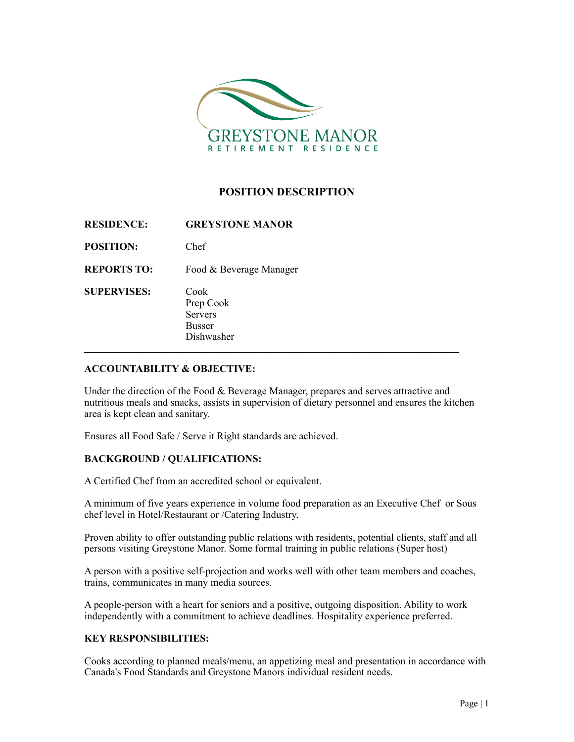

# **POSITION DESCRIPTION**

| <b>RESIDENCE:</b>  | <b>GREYSTONE MANOR</b>                                             |
|--------------------|--------------------------------------------------------------------|
| <b>POSITION:</b>   | Chef                                                               |
| <b>REPORTS TO:</b> | Food & Beverage Manager                                            |
| <b>SUPERVISES:</b> | Cook<br>Prep Cook<br><b>Servers</b><br><b>Busser</b><br>Dishwasher |

## **ACCOUNTABILITY & OBJECTIVE:**

Under the direction of the Food & Beverage Manager, prepares and serves attractive and nutritious meals and snacks, assists in supervision of dietary personnel and ensures the kitchen area is kept clean and sanitary.

Ensures all Food Safe / Serve it Right standards are achieved.

## **BACKGROUND / QUALIFICATIONS:**

A Certified Chef from an accredited school or equivalent.

A minimum of five years experience in volume food preparation as an Executive Chef or Sous chef level in Hotel/Restaurant or /Catering Industry.

Proven ability to offer outstanding public relations with residents, potential clients, staff and all persons visiting Greystone Manor. Some formal training in public relations (Super host)

A person with a positive self-projection and works well with other team members and coaches, trains, communicates in many media sources.

A people-person with a heart for seniors and a positive, outgoing disposition. Ability to work independently with a commitment to achieve deadlines. Hospitality experience preferred.

## **KEY RESPONSIBILITIES:**

Cooks according to planned meals/menu, an appetizing meal and presentation in accordance with Canada's Food Standards and Greystone Manors individual resident needs.